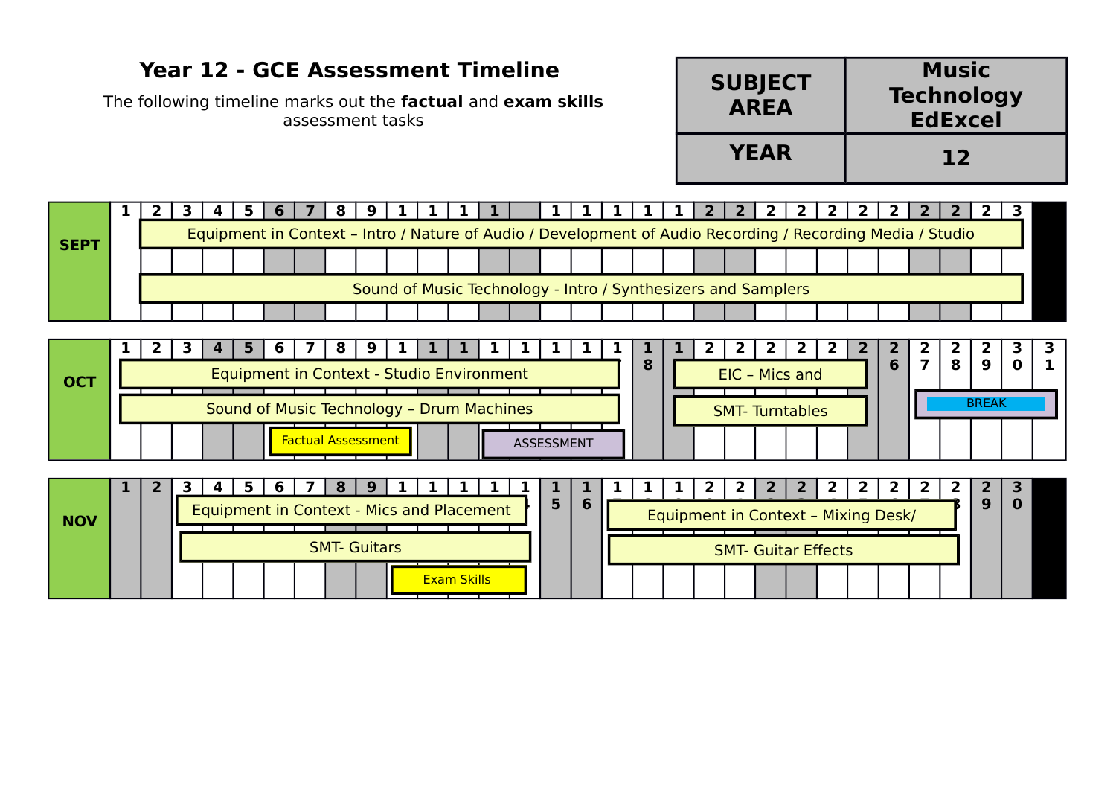## **Year 12 - GCE Assessment Timeline**

The following timeline marks out the **factual** and **exam skills** assessment tasks

| <b>SUBJECT</b><br><b>AREA</b> | <b>Music</b><br><b>Technology</b><br><b>EdExcel</b> |
|-------------------------------|-----------------------------------------------------|
| <b>YEAR</b>                   | 12                                                  |

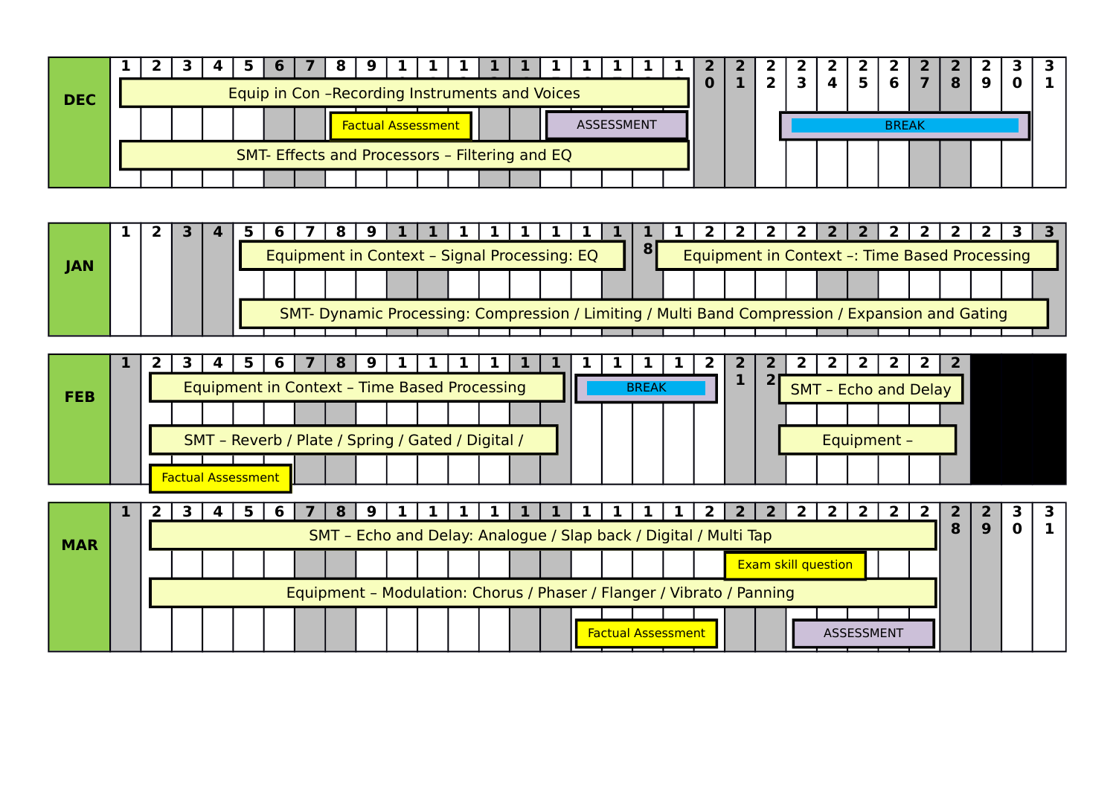| <b>DEC</b> |  | Equip in Con-Recording Instruments and Voices<br>ASSESSMENT<br><b>Factual Assessment</b> |  |  |                                                |  |  |  |  |  |  |  |  |  |  |  |  |  |              |  |  |  |  |
|------------|--|------------------------------------------------------------------------------------------|--|--|------------------------------------------------|--|--|--|--|--|--|--|--|--|--|--|--|--|--------------|--|--|--|--|
|            |  |                                                                                          |  |  |                                                |  |  |  |  |  |  |  |  |  |  |  |  |  | <b>BREAK</b> |  |  |  |  |
|            |  |                                                                                          |  |  | SMT- Effects and Processors - Filtering and EQ |  |  |  |  |  |  |  |  |  |  |  |  |  |              |  |  |  |  |
|            |  |                                                                                          |  |  |                                                |  |  |  |  |  |  |  |  |  |  |  |  |  |              |  |  |  |  |

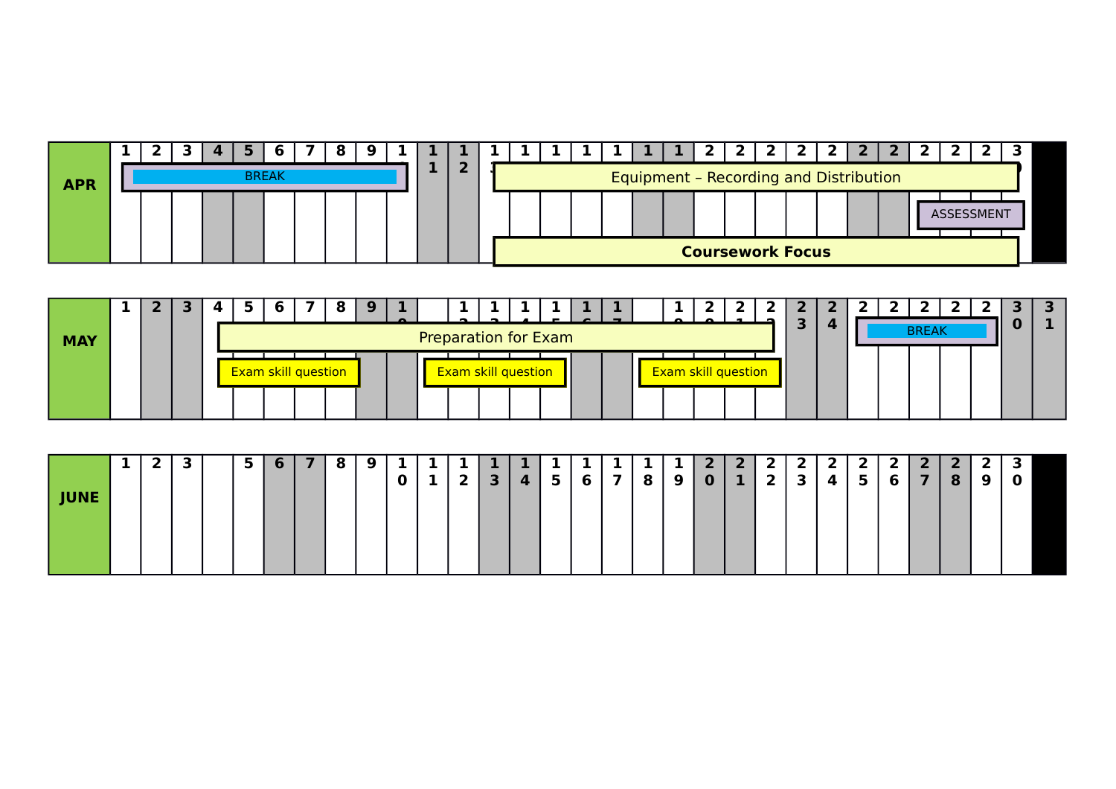| <b>APR</b> |  |  | <b>BREAK</b> |  |  |  |  |  |  | Equipment - Recording and Distribution |  |                         |  |  |            |  |
|------------|--|--|--------------|--|--|--|--|--|--|----------------------------------------|--|-------------------------|--|--|------------|--|
|            |  |  |              |  |  |  |  |  |  |                                        |  |                         |  |  | ASSESSMENT |  |
|            |  |  |              |  |  |  |  |  |  |                                        |  | <b>Coursework Focus</b> |  |  |            |  |

| <b>MAY</b> |  |  |                                                                                                                       |  |  |  |  |  |  |  |  |  |  |  |  |  |  |  | З | 4 |  | <b>BREAK</b> |  |  |
|------------|--|--|-----------------------------------------------------------------------------------------------------------------------|--|--|--|--|--|--|--|--|--|--|--|--|--|--|--|---|---|--|--------------|--|--|
|            |  |  | <b>Preparation for Exam</b><br><b>Exam skill question</b><br><b>Exam skill question</b><br><b>Exam skill question</b> |  |  |  |  |  |  |  |  |  |  |  |  |  |  |  |   |   |  |              |  |  |
|            |  |  |                                                                                                                       |  |  |  |  |  |  |  |  |  |  |  |  |  |  |  |   |   |  |              |  |  |

|             | л. | 2 | 3 | 5 | 6 | 8 | 9 | . .         |   | . .          |                |           |                |   |             |   | ۰. | $\overline{2}$ | 2 <sup>1</sup> | $\mathbf{2}$   | $\mathbf{2}$ | $\mathbf{2}$ | $\mathbf{2}$   | 2              | $\mathbf{2}$            | $\mathbf{z}$ |   | Ð<br>٠      |
|-------------|----|---|---|---|---|---|---|-------------|---|--------------|----------------|-----------|----------------|---|-------------|---|----|----------------|----------------|----------------|--------------|--------------|----------------|----------------|-------------------------|--------------|---|-------------|
| <b>JUNE</b> |    |   |   |   |   |   |   | $\mathbf 0$ | ı | $\mathbf{z}$ | 3 <sup>1</sup> | $\vert$ 4 | 5 <sup>5</sup> | 6 | 7<br>a sa T | 8 | 9  | $\mathbf{0}$   | 1              | $\overline{2}$ | $\mathbf{3}$ | 4            | 5 <sup>1</sup> | 6 <sup>1</sup> | $\overline{\mathbf{z}}$ | 8            | 9 | $\mathbf 0$ |
|             |    |   |   |   |   |   |   |             |   |              |                |           |                |   |             |   |    |                |                |                |              |              |                |                |                         |              |   |             |
|             |    |   |   |   |   |   |   |             |   |              |                |           |                |   |             |   |    |                |                |                |              |              |                |                |                         |              |   |             |
|             |    |   |   |   |   |   |   |             |   |              |                |           |                |   |             |   |    |                |                |                |              |              |                |                |                         |              |   |             |